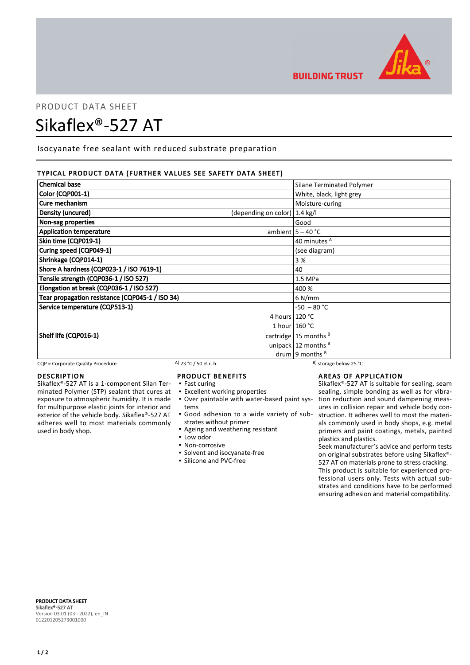

# PRODUCT DATA SHEET

## Sikaflex®-527 AT

Isocyanate free sealant with reduced substrate preparation

## TYPICAL PRODUCT DATA (FURTHER VALUES SEE SAFETY DATA SHEET)

| <b>Chemical base</b>                            |                                          | Silane Terminated Polymer |
|-------------------------------------------------|------------------------------------------|---------------------------|
| <b>Color (CQP001-1)</b>                         |                                          | White, black, light grey  |
| Cure mechanism                                  |                                          | Moisture-curing           |
| Density (uncured)                               | (depending on color) $ 1.4 \text{ kg}/I$ |                           |
| Non-sag properties                              |                                          | Good                      |
| <b>Application temperature</b>                  |                                          | ambient $5 - 40$ °C       |
| Skin time (CQP019-1)                            |                                          | 40 minutes <sup>A</sup>   |
| Curing speed (CQP049-1)                         |                                          | (see diagram)             |
| Shrinkage (CQP014-1)                            |                                          | 3 %                       |
| Shore A hardness (CQP023-1 / ISO 7619-1)        |                                          | 40                        |
| Tensile strength (CQP036-1 / ISO 527)           |                                          | 1.5 MPa                   |
| Elongation at break (CQP036-1 / ISO 527)        |                                          | 400 %                     |
| Tear propagation resistance (CQP045-1 / ISO 34) |                                          | 6 N/mm                    |
| Service temperature (CQP513-1)                  |                                          | $-50 - 80 °C$             |
|                                                 | 4 hours $120 °C$                         |                           |
|                                                 |                                          | 1 hour $160 °C$           |
| Shelf life (CQP016-1)                           |                                          | cartridge   15 months $B$ |
|                                                 |                                          | unipack $12$ months $B$   |
|                                                 |                                          | drum   9 months $B$       |

CQP = Corporate Quality Procedure A)  $23 °C / 50 %$  r. h. B) storage below 25 °C

## DESCRIPTION

Sikaflex®-527 AT is a 1-component Silan Terminated Polymer (STP) sealant that cures at exposure to atmospheric humidity. It is made for multipurpose elastic joints for interior and exterior of the vehicle body. Sikaflex®-527 AT adheres well to most materials commonly used in body shop.

## PRODUCT BENEFITS

- Fast curing
- Excellent working properties
- Over paintable with water-based paint sys-▪ tems
- Good adhesion to a wide variety of sub-▪ strates without primer
- Ageing and weathering resistant
- Low odor
- Non-corrosive
- Solvent and isocyanate-free
- Silicone and PVC-free

**BUILDING TRUST** 

## AREAS OF APPLICATION

Sikaflex®-527 AT is suitable for sealing, seam sealing, simple bonding as well as for vibration reduction and sound dampening measures in collision repair and vehicle body construction. It adheres well to most the materials commonly used in body shops, e.g. metal primers and paint coatings, metals, painted plastics and plastics.

Seek manufacturer's advice and perform tests on original substrates before using Sikaflex®- 527 AT on materials prone to stress cracking. This product is suitable for experienced pro-

fessional users only. Tests with actual substrates and conditions have to be performed ensuring adhesion and material compatibility.